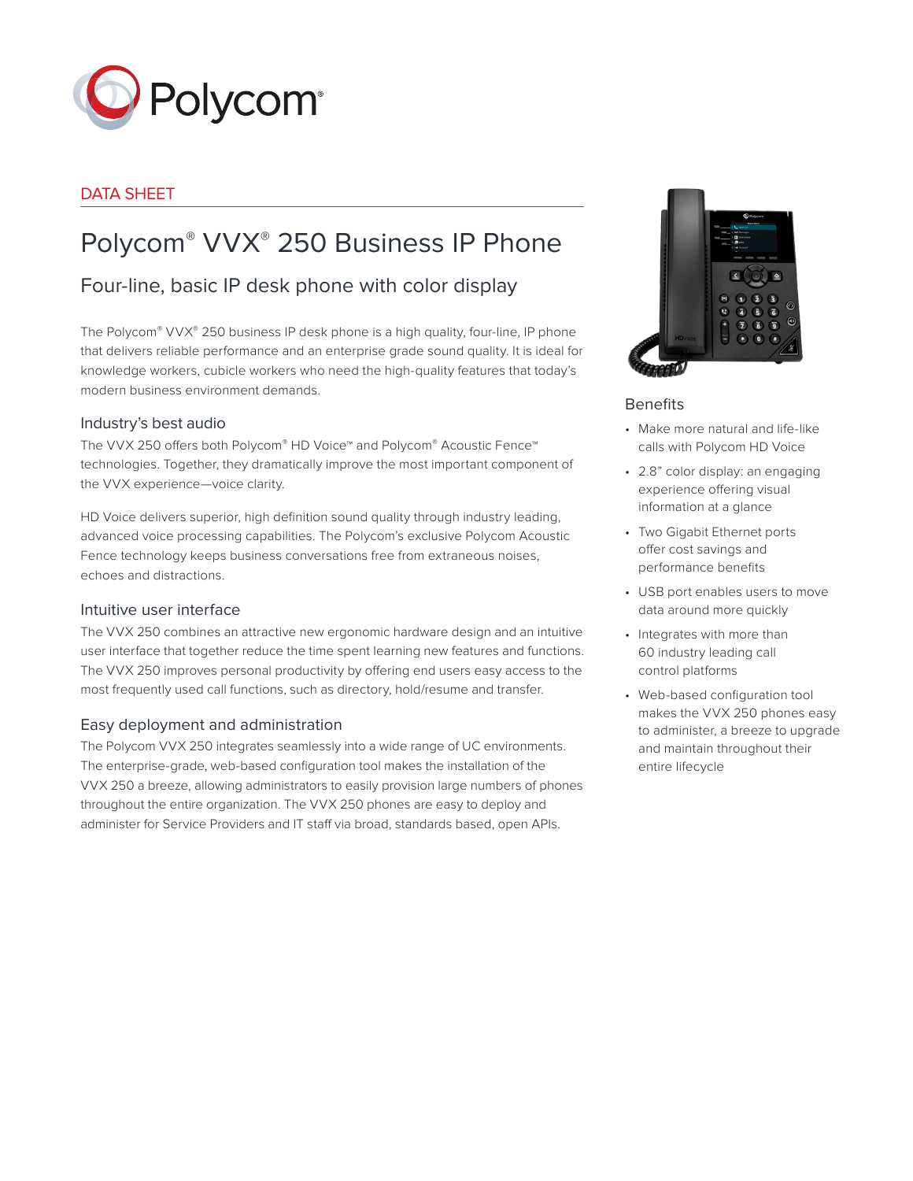

# DATA SHEET

# Polycom® VVX® 250 Business IP Phone

# Four-line, basic IP desk phone with color display

The Polycom® VVX® 250 business IP desk phone is a high quality, four-line, IP phone that delivers reliable performance and an enterprise grade sound quality. It is ideal for knowledge workers, cubicle workers who need the high-quality features that today's modern business environment demands.

# Industry's best audio

The VVX 250 offers both Polycom® HD Voice™ and Polycom® Acoustic Fence™ technologies. Together, they dramatically improve the most important component of the VVX experience—voice clarity.

HD Voice delivers superior, high definition sound quality through industry leading, advanced voice processing capabilities. The Polycom's exclusive Polycom Acoustic Fence technology keeps business conversations free from extraneous noises, echoes and distractions.

# Intuitive user interface

The VVX 250 combines an attractive new ergonomic hardware design and an intuitive user interface that together reduce the time spent learning new features and functions. The VVX 250 improves personal productivity by offering end users easy access to the most frequently used call functions, such as directory, hold/resume and transfer.

# Easy deployment and administration

The Polycom VVX 250 integrates seamlessly into a wide range of UC environments. The enterprise-grade, web-based configuration tool makes the installation of the VVX 250 a breeze, allowing administrators to easily provision large numbers of phones throughout the entire organization. The VVX 250 phones are easy to deploy and administer for Service Providers and IT staff via broad, standards based, open APIs.



# **Benefits**

- Make more natural and life-like calls with Polycom HD Voice
- 2.8" color display: an engaging experience offering visual information at a glance
- Two Gigabit Ethernet ports offer cost savings and performance benefits
- USB port enables users to move data around more quickly
- Integrates with more than 60 industry leading call control platforms
- Web-based configuration tool makes the VVX 250 phones easy to administer, a breeze to upgrade and maintain throughout their entire lifecycle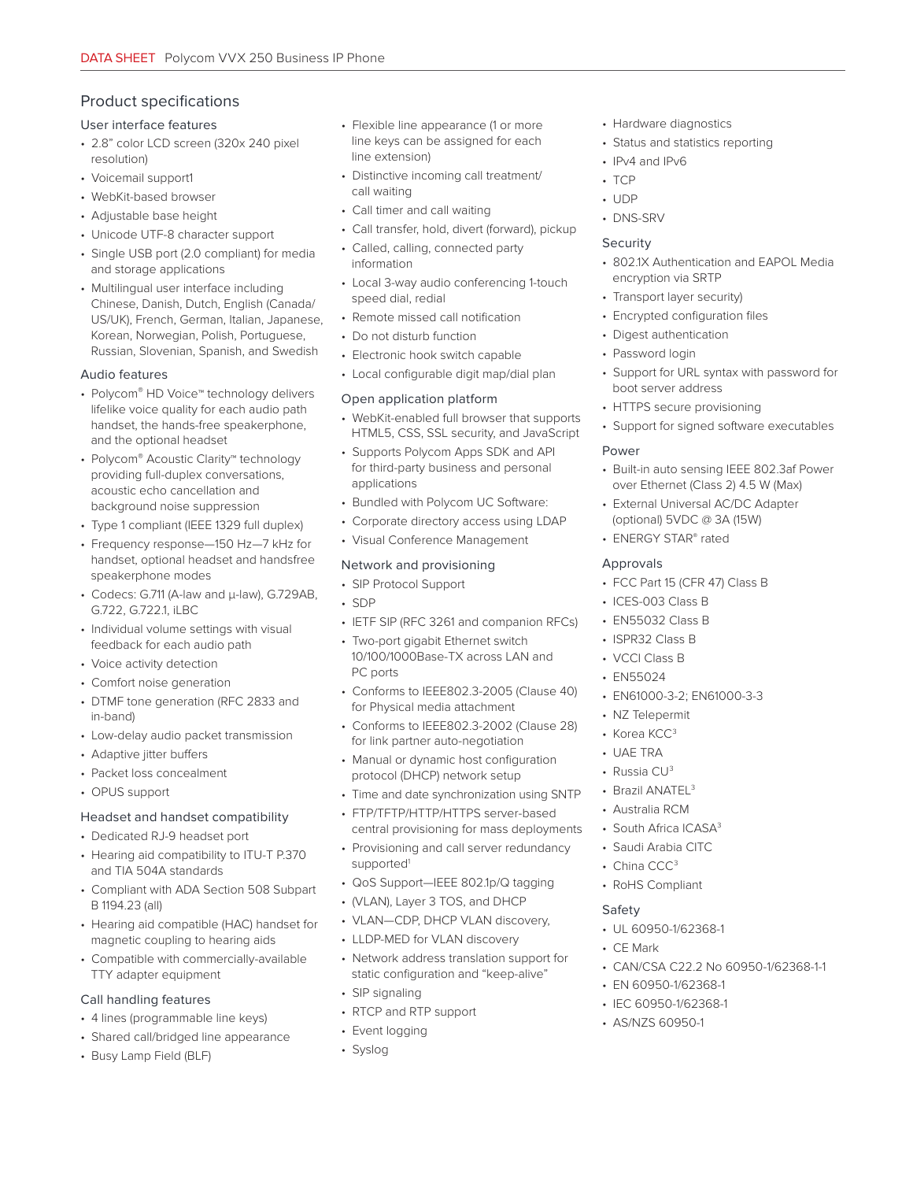# Product specifications

#### User interface features

- 2.8" color LCD screen (320x 240 pixel resolution)
- Voicemail support1
- WebKit-based browser
- Adjustable base height
- Unicode UTF-8 character support
- Single USB port (2.0 compliant) for media and storage applications
- Multilingual user interface including Chinese, Danish, Dutch, English (Canada/ US/UK), French, German, Italian, Japanese, Korean, Norwegian, Polish, Portuguese, Russian, Slovenian, Spanish, and Swedish

#### Audio features

- Polycom® HD Voice™ technology delivers lifelike voice quality for each audio path handset, the hands-free speakerphone, and the optional headset
- Polycom® Acoustic Clarity™ technology providing full-duplex conversations, acoustic echo cancellation and background noise suppression
- Type 1 compliant (IEEE 1329 full duplex)
- Frequency response—150 Hz—7 kHz for handset, optional headset and handsfree speakerphone modes
- Codecs: G.711 (A-law and μ-law), G.729AB, G.722, G.722.1, iLBC
- Individual volume settings with visual feedback for each audio path
- Voice activity detection
- Comfort noise generation
- DTMF tone generation (RFC 2833 and in-band)
- Low-delay audio packet transmission
- Adaptive jitter buffers
- Packet loss concealment
- OPUS support

#### Headset and handset compatibility

- Dedicated RJ-9 headset port
- Hearing aid compatibility to ITU-T P.370 and TIA 504A standards
- Compliant with ADA Section 508 Subpart B 1194.23 (all)
- Hearing aid compatible (HAC) handset for magnetic coupling to hearing aids
- Compatible with commercially-available TTY adapter equipment

#### Call handling features

- 4 lines (programmable line keys)
- Shared call/bridged line appearance
- Busy Lamp Field (BLF)
- Flexible line appearance (1 or more line keys can be assigned for each line extension)
- Distinctive incoming call treatment/ call waiting
- Call timer and call waiting
- Call transfer, hold, divert (forward), pickup
- Called, calling, connected party information
- Local 3-way audio conferencing 1-touch speed dial, redial
- Remote missed call notification
- Do not disturb function
- Electronic hook switch capable
- Local configurable digit map/dial plan

#### Open application platform

- WebKit-enabled full browser that supports HTML5, CSS, SSL security, and JavaScript
- Supports Polycom Apps SDK and API for third-party business and personal applications
- Bundled with Polycom UC Software:
- Corporate directory access using LDAP
- Visual Conference Management

# Network and provisioning

- SIP Protocol Support
- SDP
- IETF SIP (RFC 3261 and companion RFCs)
- Two-port gigabit Ethernet switch 10/100/1000Base-TX across LAN and PC ports
- Conforms to IEEE802.3-2005 (Clause 40) for Physical media attachment
- Conforms to IEEE802.3-2002 (Clause 28) for link partner auto-negotiation
- Manual or dynamic host configuration protocol (DHCP) network setup
- Time and date synchronization using SNTP
- FTP/TFTP/HTTP/HTTPS server-based central provisioning for mass deployments
- Provisioning and call server redundancy supported<sup>1</sup>
- QoS Support—IEEE 802.1p/Q tagging
- (VLAN), Layer 3 TOS, and DHCP
- VLAN—CDP, DHCP VLAN discovery,
- LLDP-MED for VLAN discovery
- Network address translation support for static configuration and "keep-alive"
- SIP signaling
- RTCP and RTP support
- Event logging
- Syslog
- Hardware diagnostics
- Status and statistics reporting
- IPv4 and IPv6
- TCP
- UDP
- DNS-SRV

#### **Security**

- 802.1X Authentication and EAPOL Media encryption via SRTP
- Transport layer security)
- Encrypted configuration files
- Digest authentication
- Password login
- Support for URL syntax with password for boot server address
- HTTPS secure provisioning
- Support for signed software executables

#### Power

- Built-in auto sensing IEEE 802.3af Power over Ethernet (Class 2) 4.5 W (Max)
- External Universal AC/DC Adapter (optional) 5VDC @ 3A (15W)
- ENERGY STAR® rated

#### Approvals

- FCC Part 15 (CFR 47) Class B
- ICES-003 Class B
- EN55032 Class B
- ISPR32 Class B
- VCCI Class B
- EN55024
- EN61000-3-2; EN61000-3-3
- NZ Telepermit
- Korea KCC<sup>3</sup>

• Russia CU3 • Brazil ANATEL<sup>3</sup> • Australia RCM • South Africa ICASA<sup>3</sup> • Saudi Arabia CITC • China CCC<sup>3</sup> • RoHS Compliant

• UAE TRA

Safety

• CE Mark

• UL 60950-1/62368-1

• EN 60950-1/62368-1 • IEC 60950-1/62368-1 • AS/NZS 60950-1

• CAN/CSA C22.2 No 60950-1/62368-1-1